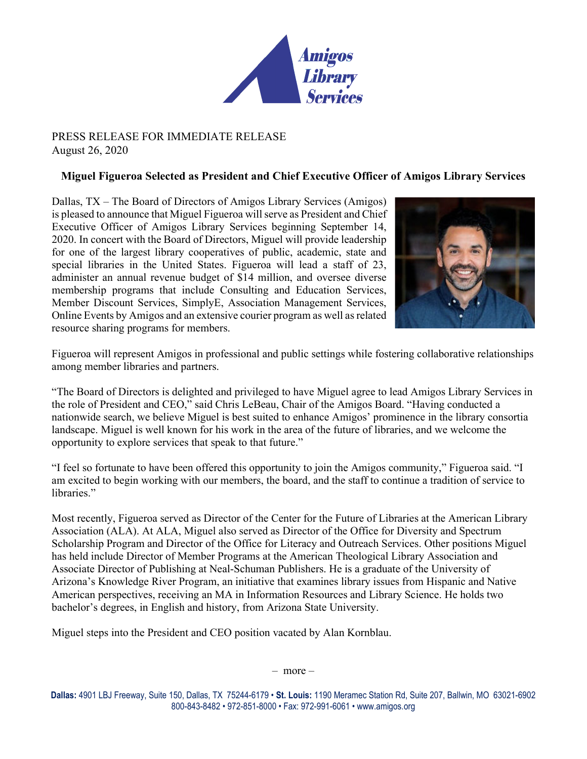

## PRESS RELEASE FOR IMMEDIATE RELEASE August 26, 2020

## **Miguel Figueroa Selected as President and Chief Executive Officer of Amigos Library Services**

Dallas, TX – The Board of Directors of Amigos Library Services (Amigos) is pleased to announce that Miguel Figueroa will serve as President and Chief Executive Officer of Amigos Library Services beginning September 14, 2020. In concert with the Board of Directors, Miguel will provide leadership for one of the largest library cooperatives of public, academic, state and special libraries in the United States. Figueroa will lead a staff of 23, administer an annual revenue budget of \$14 million, and oversee diverse membership programs that include Consulting and Education Services, Member Discount Services, SimplyE, Association Management Services, Online Events by Amigos and an extensive courier program as well as related resource sharing programs for members.



Figueroa will represent Amigos in professional and public settings while fostering collaborative relationships among member libraries and partners.

"The Board of Directors is delighted and privileged to have Miguel agree to lead Amigos Library Services in the role of President and CEO," said Chris LeBeau, Chair of the Amigos Board. "Having conducted a nationwide search, we believe Miguel is best suited to enhance Amigos' prominence in the library consortia landscape. Miguel is well known for his work in the area of the future of libraries, and we welcome the opportunity to explore services that speak to that future."

"I feel so fortunate to have been offered this opportunity to join the Amigos community," Figueroa said. "I am excited to begin working with our members, the board, and the staff to continue a tradition of service to libraries."

Most recently, Figueroa served as Director of the Center for the Future of Libraries at the American Library Association (ALA). At ALA, Miguel also served as Director of the Office for Diversity and Spectrum Scholarship Program and Director of the Office for Literacy and Outreach Services. Other positions Miguel has held include Director of Member Programs at the American Theological Library Association and Associate Director of Publishing at Neal-Schuman Publishers. He is a graduate of the University of Arizona's Knowledge River Program, an initiative that examines library issues from Hispanic and Native American perspectives, receiving an MA in Information Resources and Library Science. He holds two bachelor's degrees, in English and history, from Arizona State University.

Miguel steps into the President and CEO position vacated by Alan Kornblau.

– more –